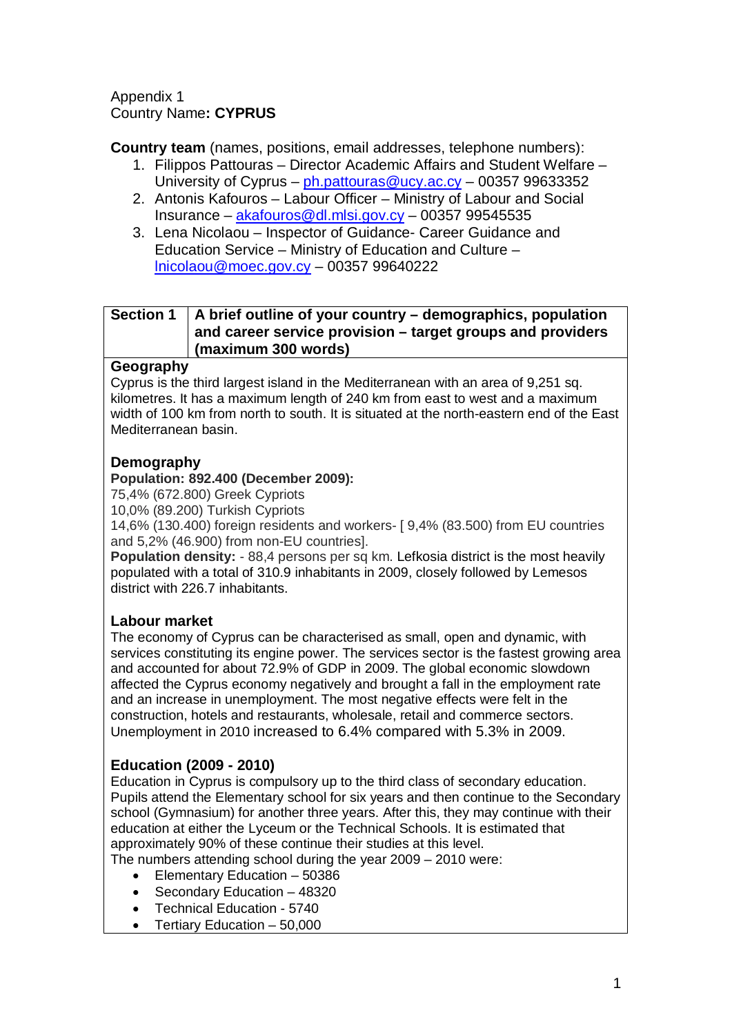#### Appendix 1 Country Name**: CYPRUS**

**Country team** (names, positions, email addresses, telephone numbers):

- 1. Filippos Pattouras Director Academic Affairs and Student Welfare University of Cyprus – [ph.pattouras@ucy.ac.cy](mailto:ph.pattouras@ucy.ac.cy) – 00357 99633352
- 2. Antonis Kafouros Labour Officer Ministry of Labour and Social Insurance – [akafouros@dl.mlsi.gov.cy](mailto:akafouros@dl.mlsi.gov.cy) – 00357 99545535
- 3. Lena Nicolaou Inspector of Guidance- Career Guidance and Education Service – Ministry of Education and Culture – [lnicolaou@moec.gov.cy](mailto:lnicolaou@moec.gov.cy) – 00357 99640222

# **Section 1 A brief outline of your country – demographics, population and career service provision – target groups and providers (maximum 300 words)**

## **Geography**

Cyprus is the third largest island in the Mediterranean with an area of 9,251 sq. kilometres. It has a maximum length of 240 km from east to west and a maximum width of 100 km from north to south. It is situated at the north-eastern end of the East Mediterranean basin.

# **Demography**

## **Population: 892.400 (December 2009):**

75,4% (672.800) Greek Cypriots

10,0% (89.200) Turkish Cypriots

14,6% (130.400) foreign residents and workers- [ 9,4% (83.500) from EU countries and 5,2% (46.900) from non-EU countries].

**Population density:**  $-88,4$  persons per sq km. Lefkosia district is the most heavily populated with a total of 310.9 inhabitants in 2009, closely followed by Lemesos district with 226.7 inhabitants.

# **Labour market**

The economy of Cyprus can be characterised as small, open and dynamic, with services constituting its engine power. The services sector is the fastest growing area and accounted for about 72.9% of GDP in 2009. The global economic slowdown affected the Cyprus economy negatively and brought a fall in the employment rate and an increase in unemployment. The most negative effects were felt in the construction, hotels and restaurants, wholesale, retail and commerce sectors. Unemployment in 2010 increased to 6.4% compared with 5.3% in 2009.

# **Education (2009 - 2010)**

Education in Cyprus is compulsory up to the third class of secondary education. Pupils attend the Elementary school for six years and then continue to the Secondary school (Gymnasium) for another three years. After this, they may continue with their education at either the Lyceum or the Technical Schools. It is estimated that approximately 90% of these continue their studies at this level.

The numbers attending school during the year 2009 – 2010 were:

- Elementary Education 50386
- Secondary Education 48320
- Technical Education 5740
- Tertiary Education 50,000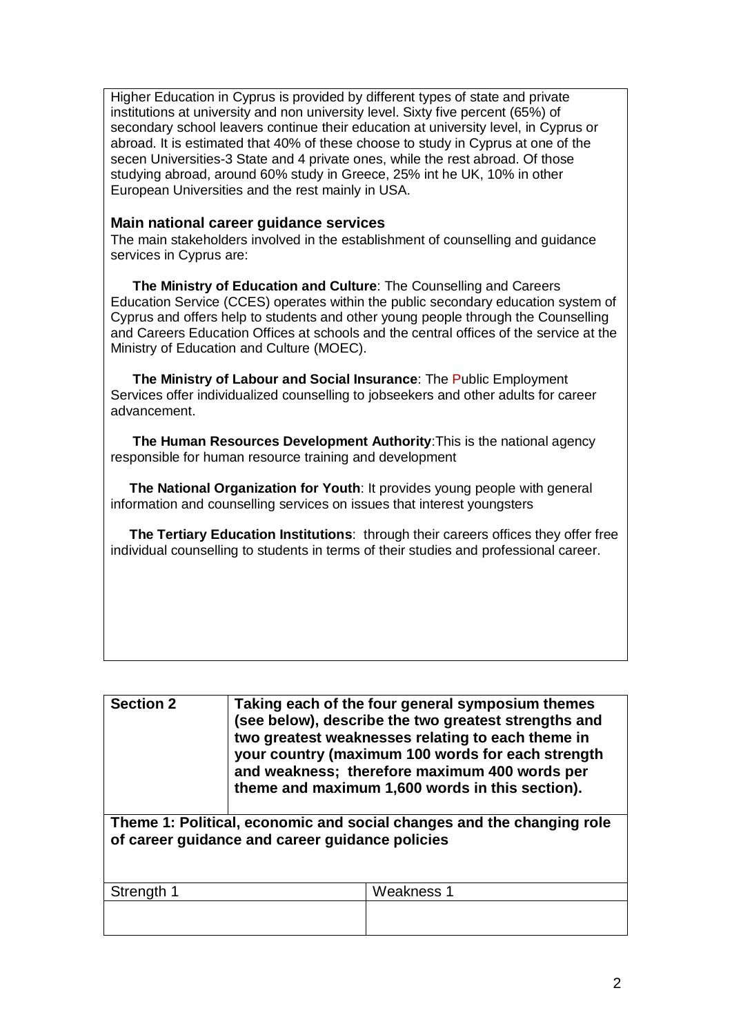Higher Education in Cyprus is provided by different types of state and private institutions at university and non university level. Sixty five percent (65%) of secondary school leavers continue their education at university level, in Cyprus or abroad. It is estimated that 40% of these choose to study in Cyprus at one of the secen Universities-3 State and 4 private ones, while the rest abroad. Of those studying abroad, around 60% study in Greece, 25% int he UK, 10% in other European Universities and the rest mainly in USA.

#### **Main national career guidance services**

The main stakeholders involved in the establishment of counselling and guidance services in Cyprus are:

**The Ministry of Education and Culture**: The Counselling and Careers Education Service (CCES) operates within the public secondary education system of Cyprus and offers help to students and other young people through the Counselling and Careers Education Offices at schools and the central offices of the service at the Ministry of Education and Culture (MOEC).

**The Ministry of Labour and Social Insurance**: The Public Employment Services offer individualized counselling to jobseekers and other adults for career advancement.

**The Human Resources Development Authority**:This is the national agency responsible for human resource training and development

 **The National Organization for Youth**: It provides young people with general information and counselling services on issues that interest youngsters

 **The Tertiary Education Institutions**: through their careers offices they offer free individual counselling to students in terms of their studies and professional career.

| <b>Section 2</b>                                                                                                         | Taking each of the four general symposium themes<br>(see below), describe the two greatest strengths and<br>two greatest weaknesses relating to each theme in<br>your country (maximum 100 words for each strength<br>and weakness; therefore maximum 400 words per<br>theme and maximum 1,600 words in this section). |            |
|--------------------------------------------------------------------------------------------------------------------------|------------------------------------------------------------------------------------------------------------------------------------------------------------------------------------------------------------------------------------------------------------------------------------------------------------------------|------------|
| Theme 1: Political, economic and social changes and the changing role<br>of career guidance and career guidance policies |                                                                                                                                                                                                                                                                                                                        |            |
| Strength 1                                                                                                               |                                                                                                                                                                                                                                                                                                                        | Weakness 1 |
|                                                                                                                          |                                                                                                                                                                                                                                                                                                                        |            |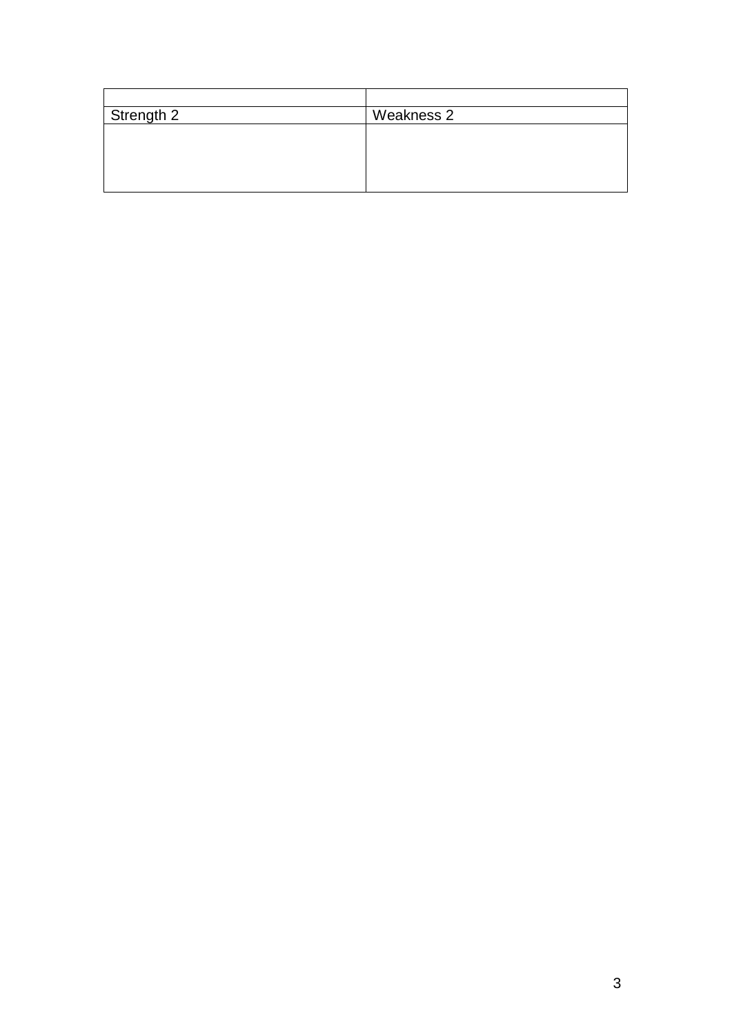| Strength 2 | Weakness 2 |
|------------|------------|
|            |            |
|            |            |
|            |            |
|            |            |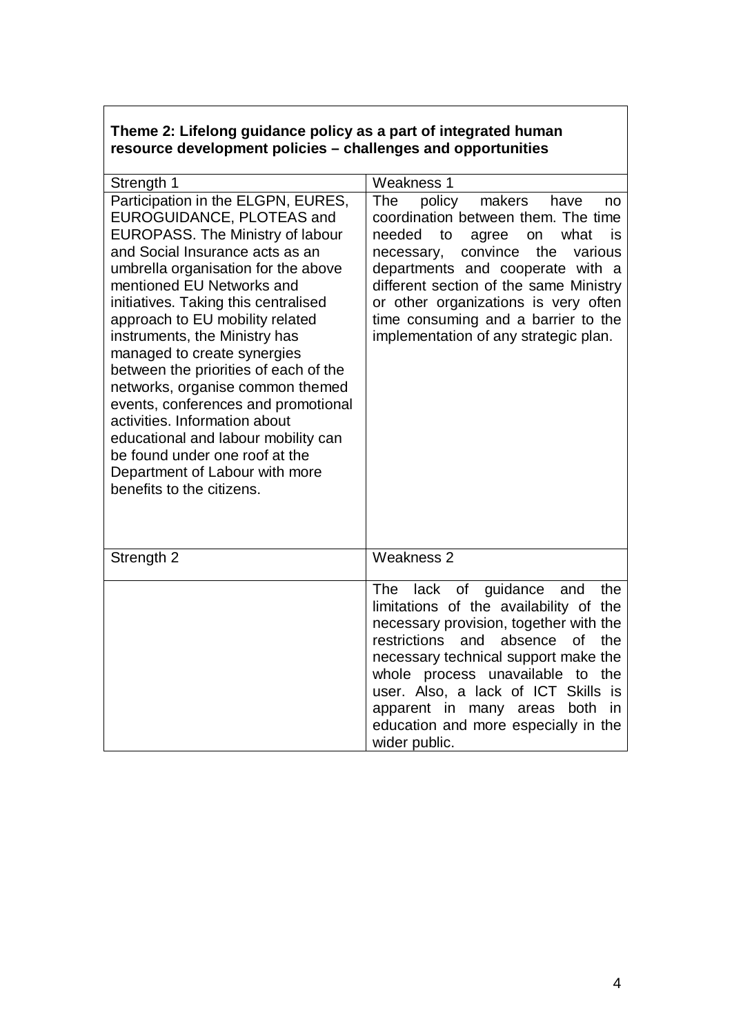## **Theme 2: Lifelong guidance policy as a part of integrated human resource development policies – challenges and opportunities**

| Strength 1                                                                                                                                                                                                                                                                                                                                                                                                                                                                                                                                                                                                                                                | <b>Weakness 1</b>                                                                                                                                                                                                                                                                                                                                                                                |
|-----------------------------------------------------------------------------------------------------------------------------------------------------------------------------------------------------------------------------------------------------------------------------------------------------------------------------------------------------------------------------------------------------------------------------------------------------------------------------------------------------------------------------------------------------------------------------------------------------------------------------------------------------------|--------------------------------------------------------------------------------------------------------------------------------------------------------------------------------------------------------------------------------------------------------------------------------------------------------------------------------------------------------------------------------------------------|
| Participation in the ELGPN, EURES,<br>EUROGUIDANCE, PLOTEAS and<br><b>EUROPASS. The Ministry of labour</b><br>and Social Insurance acts as an<br>umbrella organisation for the above<br>mentioned EU Networks and<br>initiatives. Taking this centralised<br>approach to EU mobility related<br>instruments, the Ministry has<br>managed to create synergies<br>between the priorities of each of the<br>networks, organise common themed<br>events, conferences and promotional<br>activities. Information about<br>educational and labour mobility can<br>be found under one roof at the<br>Department of Labour with more<br>benefits to the citizens. | The<br>policy<br>makers<br>have<br>no<br>coordination between them. The time<br>needed<br>to<br>what<br>agree<br>is<br>on<br>convince<br>the<br>various<br>necessary,<br>departments and cooperate with a<br>different section of the same Ministry<br>or other organizations is very often<br>time consuming and a barrier to the<br>implementation of any strategic plan.                      |
| Strength 2                                                                                                                                                                                                                                                                                                                                                                                                                                                                                                                                                                                                                                                | Weakness 2                                                                                                                                                                                                                                                                                                                                                                                       |
|                                                                                                                                                                                                                                                                                                                                                                                                                                                                                                                                                                                                                                                           | lack of guidance<br><b>The</b><br>the<br>and<br>limitations of the availability of the<br>necessary provision, together with the<br>restrictions<br>the<br>and<br>absence<br>0f<br>necessary technical support make the<br>whole process unavailable to the<br>user. Also, a lack of ICT Skills is<br>apparent in many areas both<br>in<br>education and more especially in the<br>wider public. |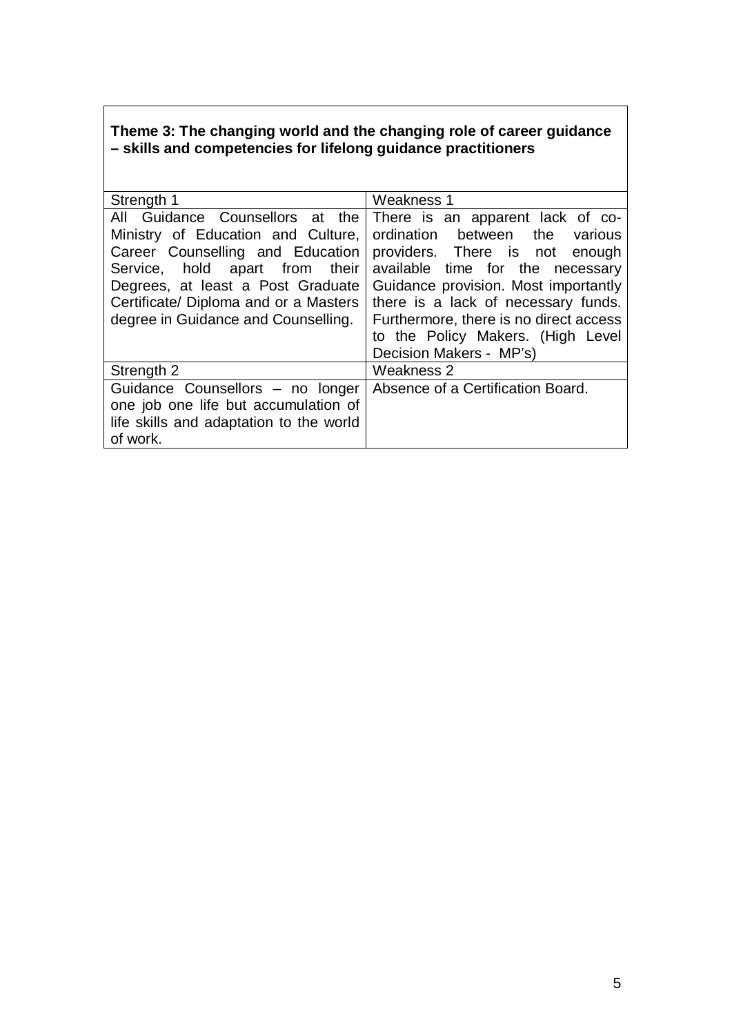# **Theme 3: The changing world and the changing role of career guidance – skills and competencies for lifelong guidance practitioners**

| Strength 1                                                                                                                                                                                                                                                          | Weakness 1                                                                                                                                                                                                                                                           |
|---------------------------------------------------------------------------------------------------------------------------------------------------------------------------------------------------------------------------------------------------------------------|----------------------------------------------------------------------------------------------------------------------------------------------------------------------------------------------------------------------------------------------------------------------|
| All Guidance Counsellors at the<br>Ministry of Education and Culture,<br>Career Counselling and Education<br>Service, hold apart from<br>their<br>Degrees, at least a Post Graduate<br>Certificate/ Diploma and or a Masters<br>degree in Guidance and Counselling. | There is an apparent lack of co-<br>ordination between the<br>various<br>providers. There is not enough<br>available time for the necessary<br>Guidance provision. Most importantly<br>there is a lack of necessary funds.<br>Furthermore, there is no direct access |
|                                                                                                                                                                                                                                                                     | to the Policy Makers. (High Level<br>Decision Makers - MP's)                                                                                                                                                                                                         |
| Strength 2                                                                                                                                                                                                                                                          | Weakness 2                                                                                                                                                                                                                                                           |
| Guidance Counsellors - no longer<br>one job one life but accumulation of<br>life skills and adaptation to the world<br>of work.                                                                                                                                     | Absence of a Certification Board.                                                                                                                                                                                                                                    |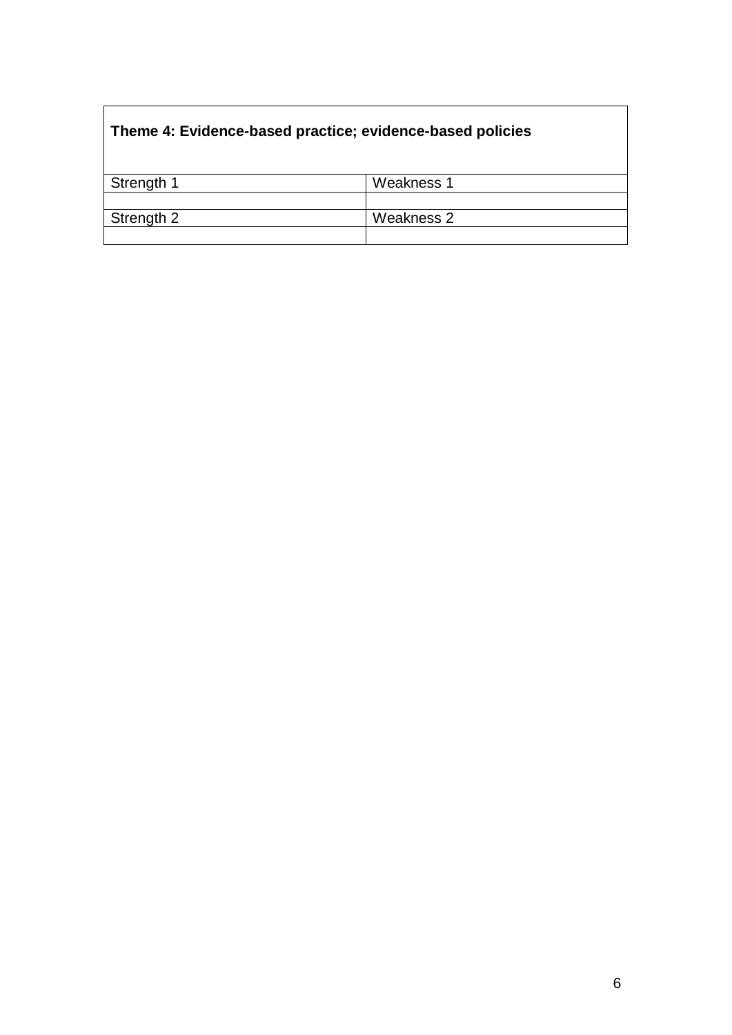# **Theme 4: Evidence-based practice; evidence-based policies**

| Strength 1 | Weakness 1 |
|------------|------------|
|            |            |
| Strength 2 | Weakness 2 |
|            |            |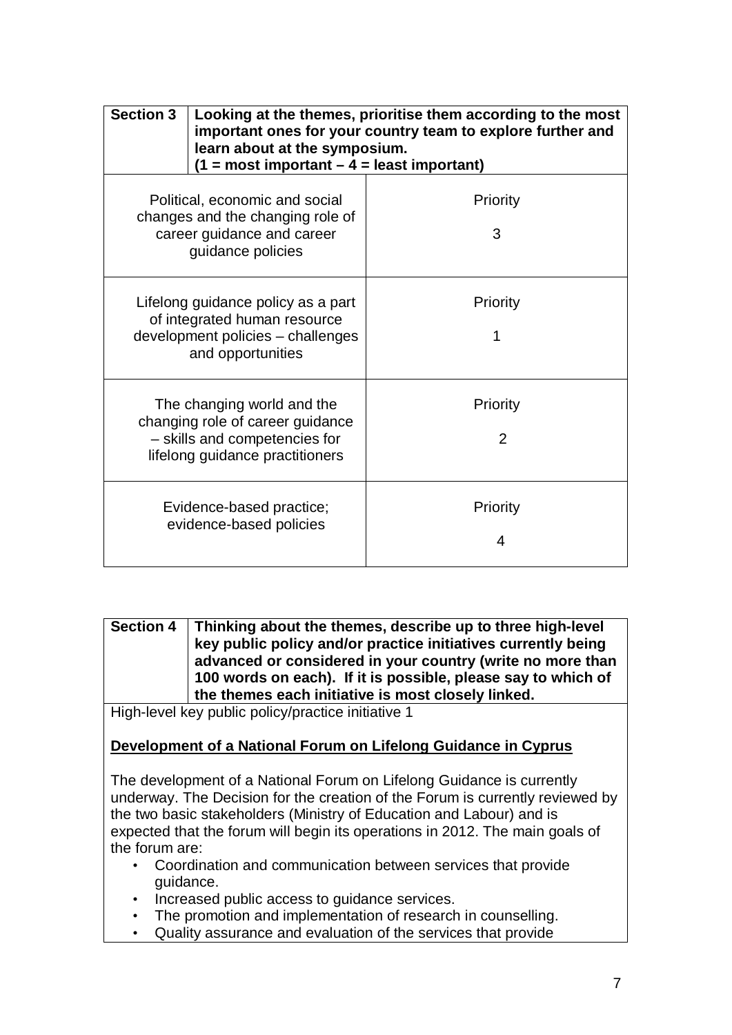| <b>Section 3</b>                                                                                                                   | learn about at the symposium.<br>$(1 = most important - 4 = least important)$ | Looking at the themes, prioritise them according to the most<br>important ones for your country team to explore further and |
|------------------------------------------------------------------------------------------------------------------------------------|-------------------------------------------------------------------------------|-----------------------------------------------------------------------------------------------------------------------------|
| Political, economic and social<br>changes and the changing role of<br>career guidance and career<br>guidance policies              |                                                                               | Priority<br>3                                                                                                               |
| Lifelong guidance policy as a part<br>of integrated human resource<br>development policies - challenges<br>and opportunities       |                                                                               | Priority                                                                                                                    |
| The changing world and the<br>changing role of career guidance<br>- skills and competencies for<br>lifelong guidance practitioners |                                                                               | Priority<br>$\overline{2}$                                                                                                  |
| Evidence-based practice;<br>evidence-based policies                                                                                |                                                                               | Priority<br>4                                                                                                               |

**Section 4 Thinking about the themes, describe up to three high-level key public policy and/or practice initiatives currently being advanced or considered in your country (write no more than 100 words on each). If it is possible, please say to which of the themes each initiative is most closely linked.**

High-level key public policy/practice initiative 1

## **Development of a National Forum on Lifelong Guidance in Cyprus**

The development of a National Forum on Lifelong Guidance is currently underway. The Decision for the creation of the Forum is currently reviewed by the two basic stakeholders (Ministry of Education and Labour) and is expected that the forum will begin its operations in 2012. The main goals of the forum are:

- Coordination and communication between services that provide guidance.
- Increased public access to guidance services.
- The promotion and implementation of research in counselling.
- Quality assurance and evaluation of the services that provide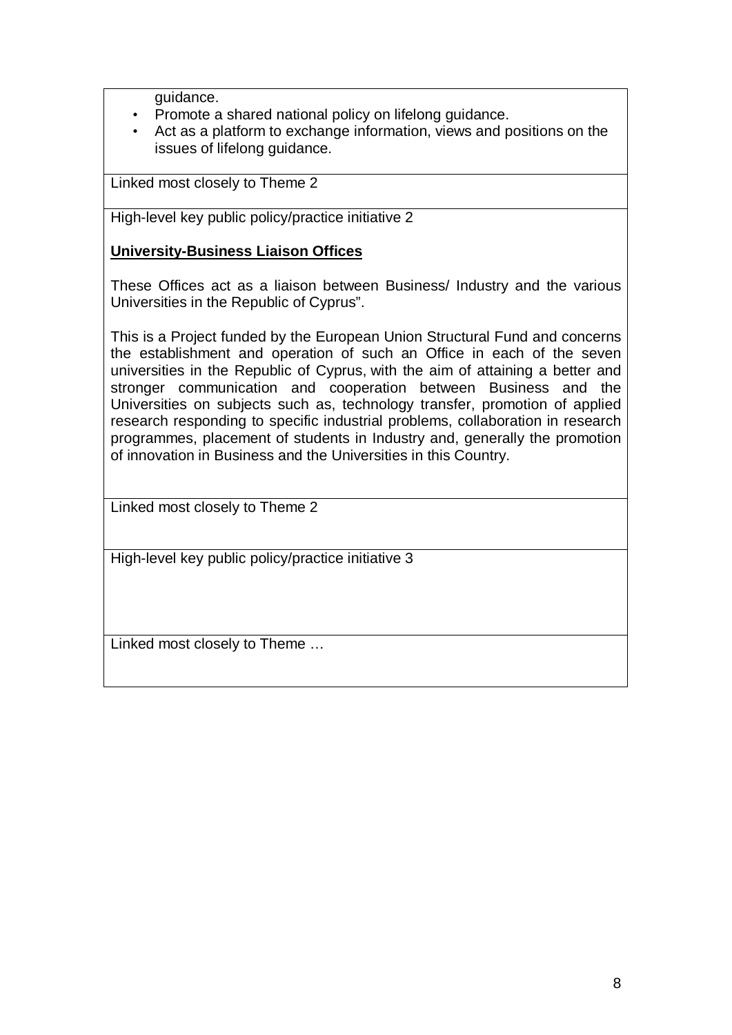guidance.

- Promote a shared national policy on lifelong guidance.
- Act as a platform to exchange information, views and positions on the issues of lifelong guidance.

Linked most closely to Theme 2

High-level key public policy/practice initiative 2

## **University-Business Liaison Offices**

These Offices act as a liaison between Business/ Industry and the various Universities in the Republic of Cyprus".

This is a Project funded by the European Union Structural Fund and concerns the establishment and operation of such an Office in each of the [seven](http://www.ucy.ac.cy/data/reinrese/Links%20with%20Industry/Collaboration.doc)  [universities](http://www.ucy.ac.cy/data/reinrese/Links%20with%20Industry/Collaboration.doc) in the Republic of Cyprus, with the aim of attaining a better and stronger communication and cooperation between Business and the Universities on subjects such as, technology transfer, promotion of applied research responding to specific industrial problems, collaboration in research programmes, placement of students in Industry and, generally the promotion of innovation in Business and the Universities in this Country.

Linked most closely to Theme 2

High-level key public policy/practice initiative 3

Linked most closely to Theme …